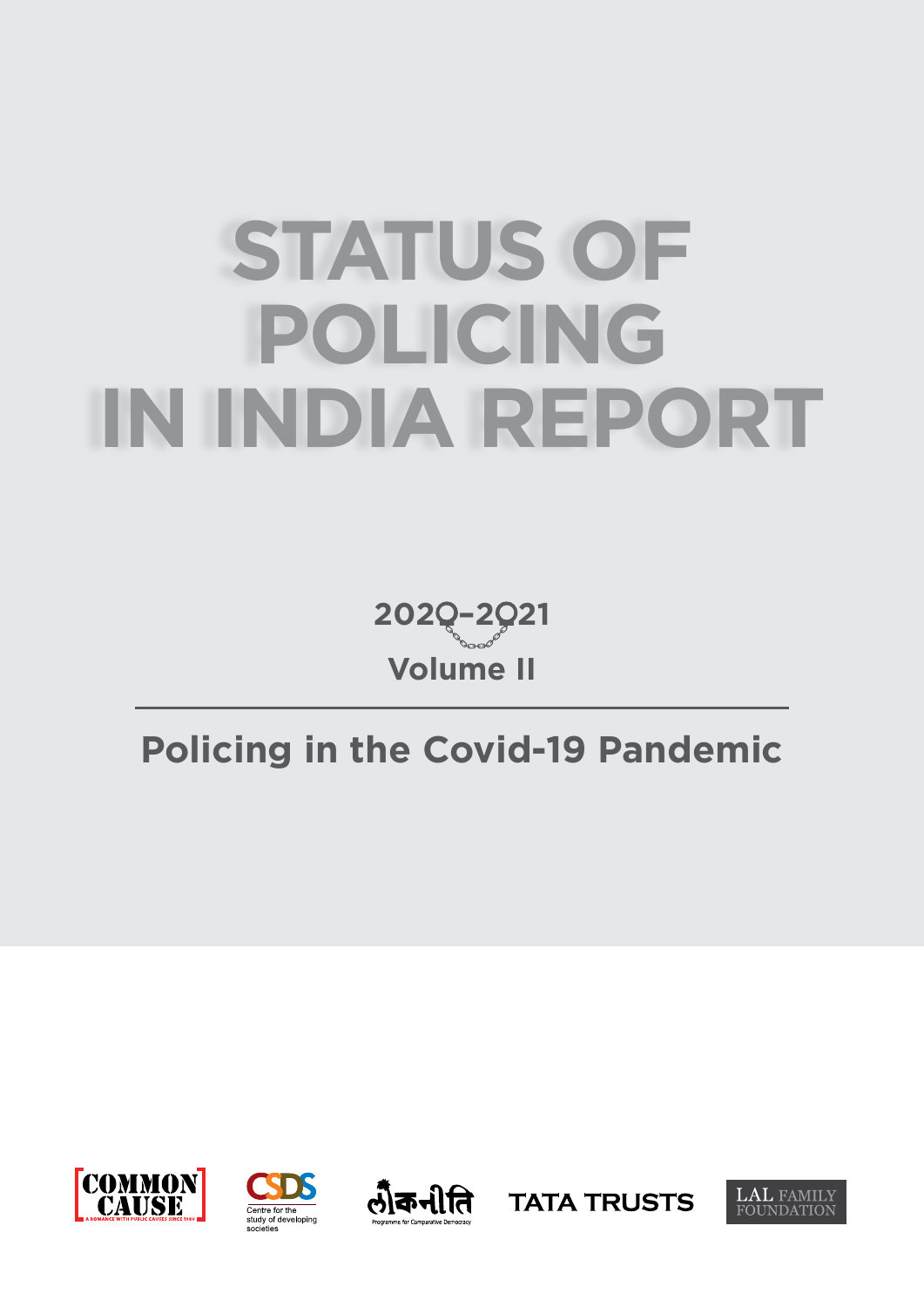# **STATUS OF POLICING IN INDIA REPORT**

**Volume II 202 –2 21**

# **Policing in the Covid-19 Pandemic**









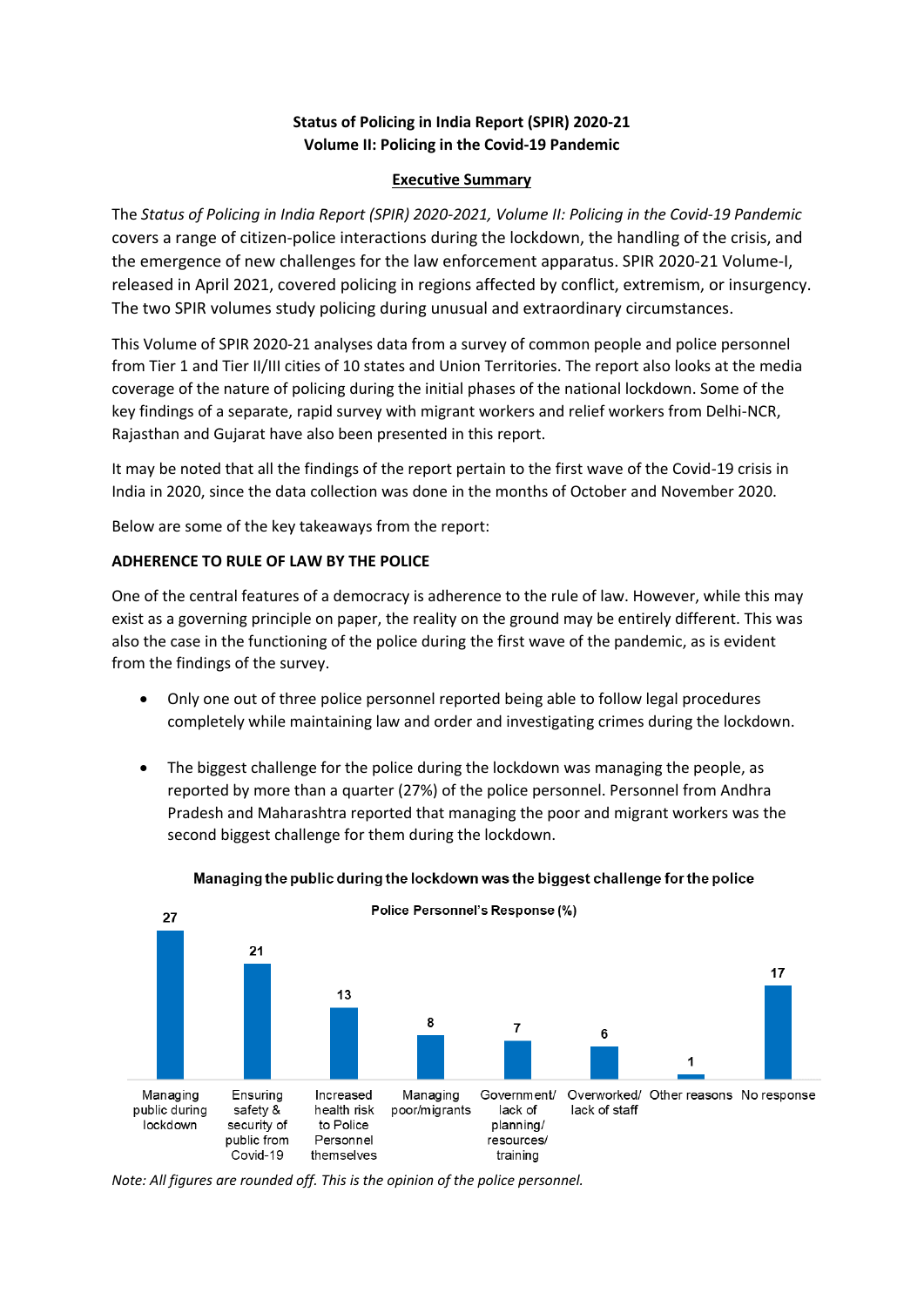# **Status of Policing in India Report (SPIR) 2020-21 Volume II: Policing in the Covid-19 Pandemic**

# **Executive Summary**

The *Status of Policing in India Report (SPIR) 2020-2021, Volume II: Policing in the Covid-19 Pandemic* covers a range of citizen-police interactions during the lockdown, the handling of the crisis, and the emergence of new challenges for the law enforcement apparatus. SPIR 2020-21 Volume-I, released in April 2021, covered policing in regions affected by conflict, extremism, or insurgency. The two SPIR volumes study policing during unusual and extraordinary circumstances.

This Volume of SPIR 2020-21 analyses data from a survey of common people and police personnel from Tier 1 and Tier II/III cities of 10 states and Union Territories. The report also looks at the media coverage of the nature of policing during the initial phases of the national lockdown. Some of the key findings of a separate, rapid survey with migrant workers and relief workers from Delhi-NCR, Rajasthan and Gujarat have also been presented in this report.

It may be noted that all the findings of the report pertain to the first wave of the Covid-19 crisis in India in 2020, since the data collection was done in the months of October and November 2020.

Below are some of the key takeaways from the report:

# **ADHERENCE TO RULE OF LAW BY THE POLICE**

One of the central features of a democracy is adherence to the rule of law. However, while this may exist as a governing principle on paper, the reality on the ground may be entirely different. This was also the case in the functioning of the police during the first wave of the pandemic, as is evident from the findings of the survey.

- Only one out of three police personnel reported being able to follow legal procedures completely while maintaining law and order and investigating crimes during the lockdown.
- The biggest challenge for the police during the lockdown was managing the people, as reported by more than a quarter (27%) of the police personnel. Personnel from Andhra Pradesh and Maharashtra reported that managing the poor and migrant workers was the second biggest challenge for them during the lockdown.



# Managing the public during the lockdown was the biggest challenge for the police

*Note: All figures are rounded off. This is the opinion of the police personnel.*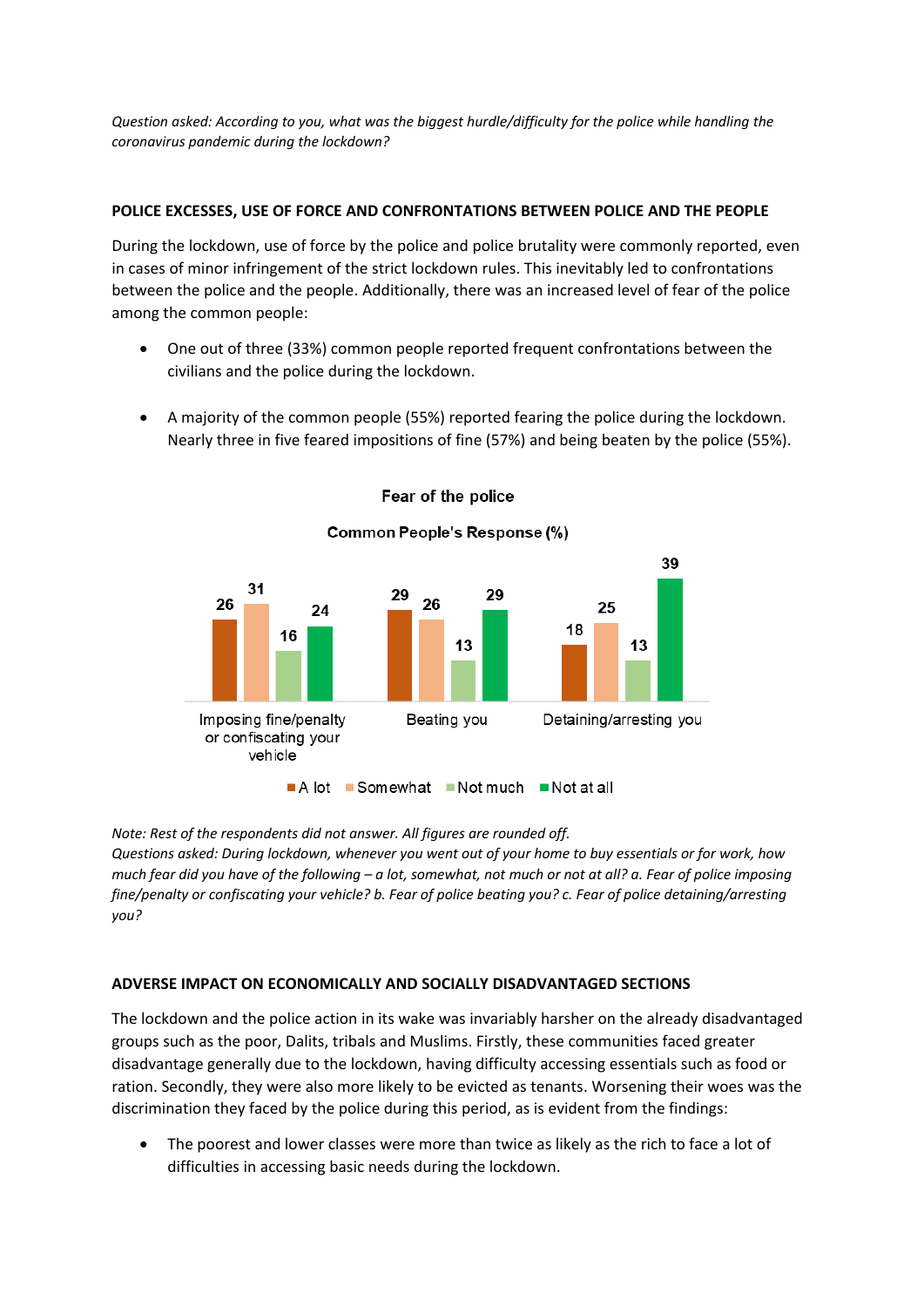*Question asked: According to you, what was the biggest hurdle/difficulty for the police while handling the coronavirus pandemic during the lockdown?*

# **POLICE EXCESSES, USE OF FORCE AND CONFRONTATIONS BETWEEN POLICE AND THE PEOPLE**

During the lockdown, use of force by the police and police brutality were commonly reported, even in cases of minor infringement of the strict lockdown rules. This inevitably led to confrontations between the police and the people. Additionally, there was an increased level of fear of the police among the common people:

- One out of three (33%) common people reported frequent confrontations between the civilians and the police during the lockdown.
- A majority of the common people (55%) reported fearing the police during the lockdown. Nearly three in five feared impositions of fine (57%) and being beaten by the police (55%).



Fear of the police

*Note: Rest of the respondents did not answer. All figures are rounded off.*

*Questions asked: During lockdown, whenever you went out of your home to buy essentials or for work, how much fear did you have of the following – a lot, somewhat, not much or not at all? a. Fear of police imposing fine/penalty or confiscating your vehicle? b. Fear of police beating you? c. Fear of police detaining/arresting you?*

# **ADVERSE IMPACT ON ECONOMICALLY AND SOCIALLY DISADVANTAGED SECTIONS**

The lockdown and the police action in its wake was invariably harsher on the already disadvantaged groups such as the poor, Dalits, tribals and Muslims. Firstly, these communities faced greater disadvantage generally due to the lockdown, having difficulty accessing essentials such as food or ration. Secondly, they were also more likely to be evicted as tenants. Worsening their woes was the discrimination they faced by the police during this period, as is evident from the findings:

• The poorest and lower classes were more than twice as likely as the rich to face a lot of difficulties in accessing basic needs during the lockdown.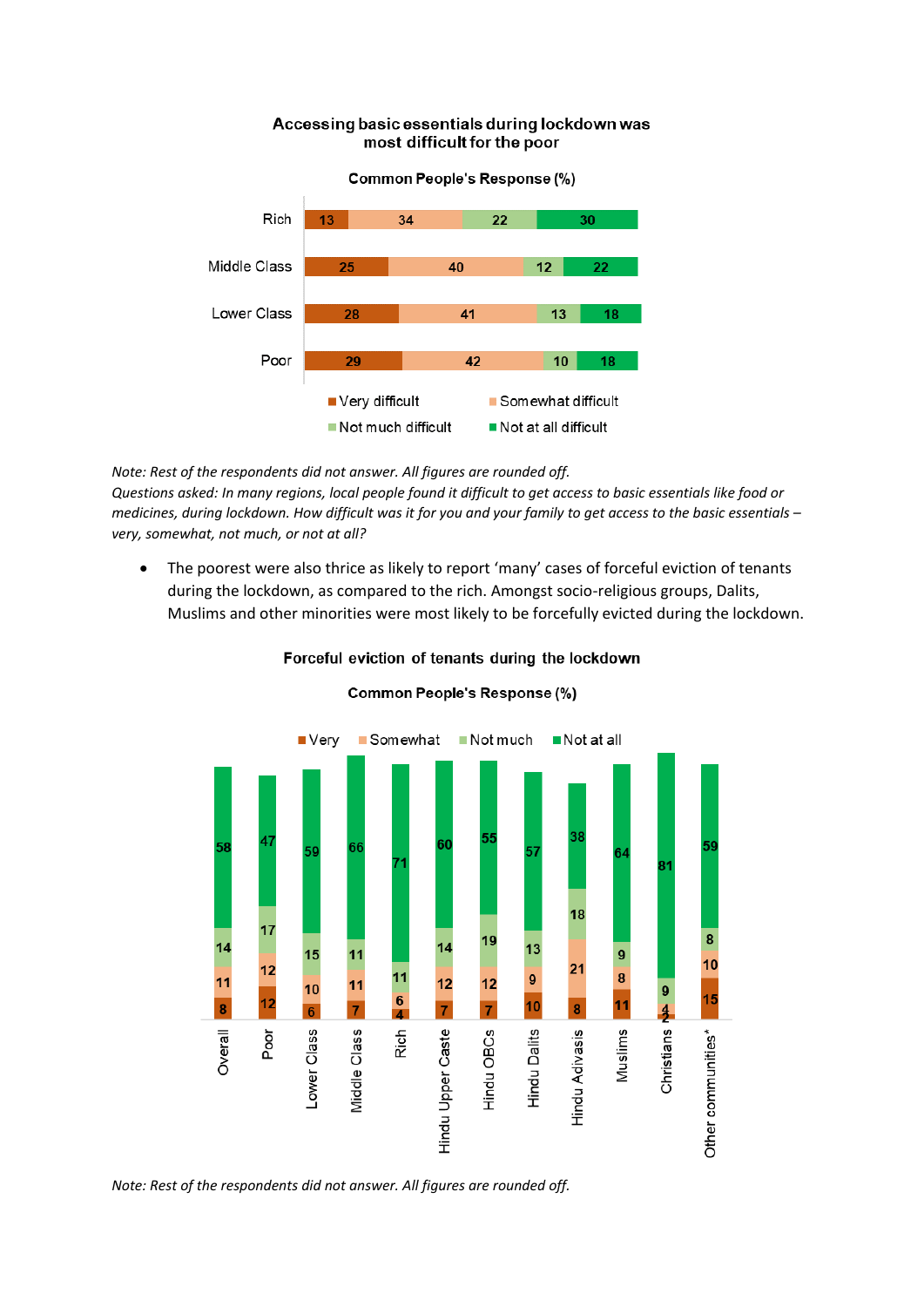## Accessing basic essentials during lockdown was most difficult for the poor



*Note: Rest of the respondents did not answer. All figures are rounded off. Questions asked: In many regions, local people found it difficult to get access to basic essentials like food or medicines, during lockdown. How difficult was it for you and your family to get access to the basic essentials – very, somewhat, not much, or not at all?*

• The poorest were also thrice as likely to report 'many' cases of forceful eviction of tenants during the lockdown, as compared to the rich. Amongst socio-religious groups, Dalits, Muslims and other minorities were most likely to be forcefully evicted during the lockdown.



# Forceful eviction of tenants during the lockdown

Common People's Response (%)

*Note: Rest of the respondents did not answer. All figures are rounded off.*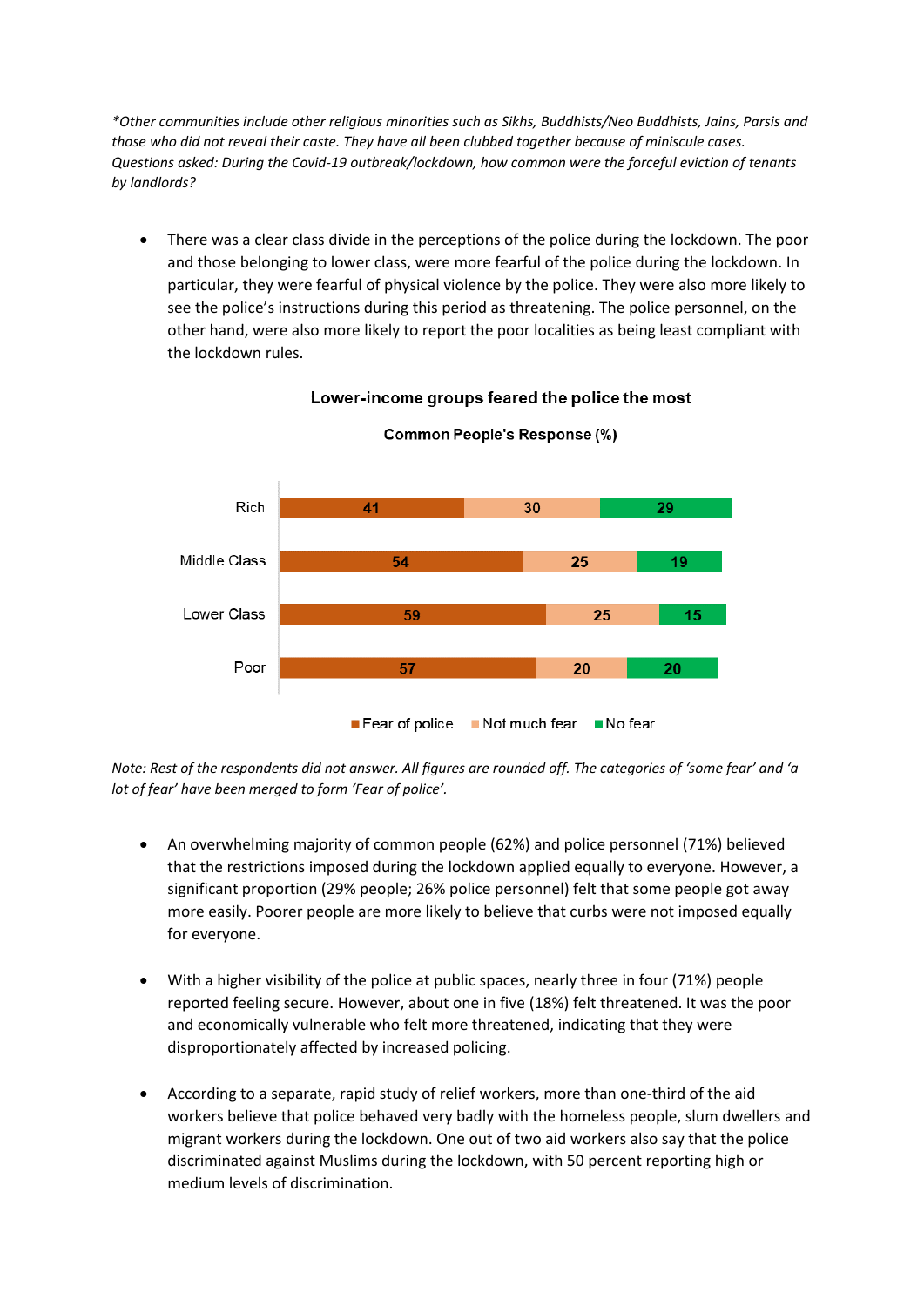*\*Other communities include other religious minorities such as Sikhs, Buddhists/Neo Buddhists, Jains, Parsis and those who did not reveal their caste. They have all been clubbed together because of miniscule cases. Questions asked: During the Covid-19 outbreak/lockdown, how common were the forceful eviction of tenants by landlords?*

• There was a clear class divide in the perceptions of the police during the lockdown. The poor and those belonging to lower class, were more fearful of the police during the lockdown. In particular, they were fearful of physical violence by the police. They were also more likely to see the police's instructions during this period as threatening. The police personnel, on the other hand, were also more likely to report the poor localities as being least compliant with the lockdown rules.



Lower-income groups feared the police the most

*Note: Rest of the respondents did not answer. All figures are rounded off. The categories of 'some fear' and 'a lot of fear' have been merged to form 'Fear of police'.*

- An overwhelming majority of common people (62%) and police personnel (71%) believed that the restrictions imposed during the lockdown applied equally to everyone. However, a significant proportion (29% people; 26% police personnel) felt that some people got away more easily. Poorer people are more likely to believe that curbs were not imposed equally for everyone.
- With a higher visibility of the police at public spaces, nearly three in four (71%) people reported feeling secure. However, about one in five (18%) felt threatened. It was the poor and economically vulnerable who felt more threatened, indicating that they were disproportionately affected by increased policing.
- According to a separate, rapid study of relief workers, more than one-third of the aid workers believe that police behaved very badly with the homeless people, slum dwellers and migrant workers during the lockdown. One out of two aid workers also say that the police discriminated against Muslims during the lockdown, with 50 percent reporting high or medium levels of discrimination.

# Common People's Response (%)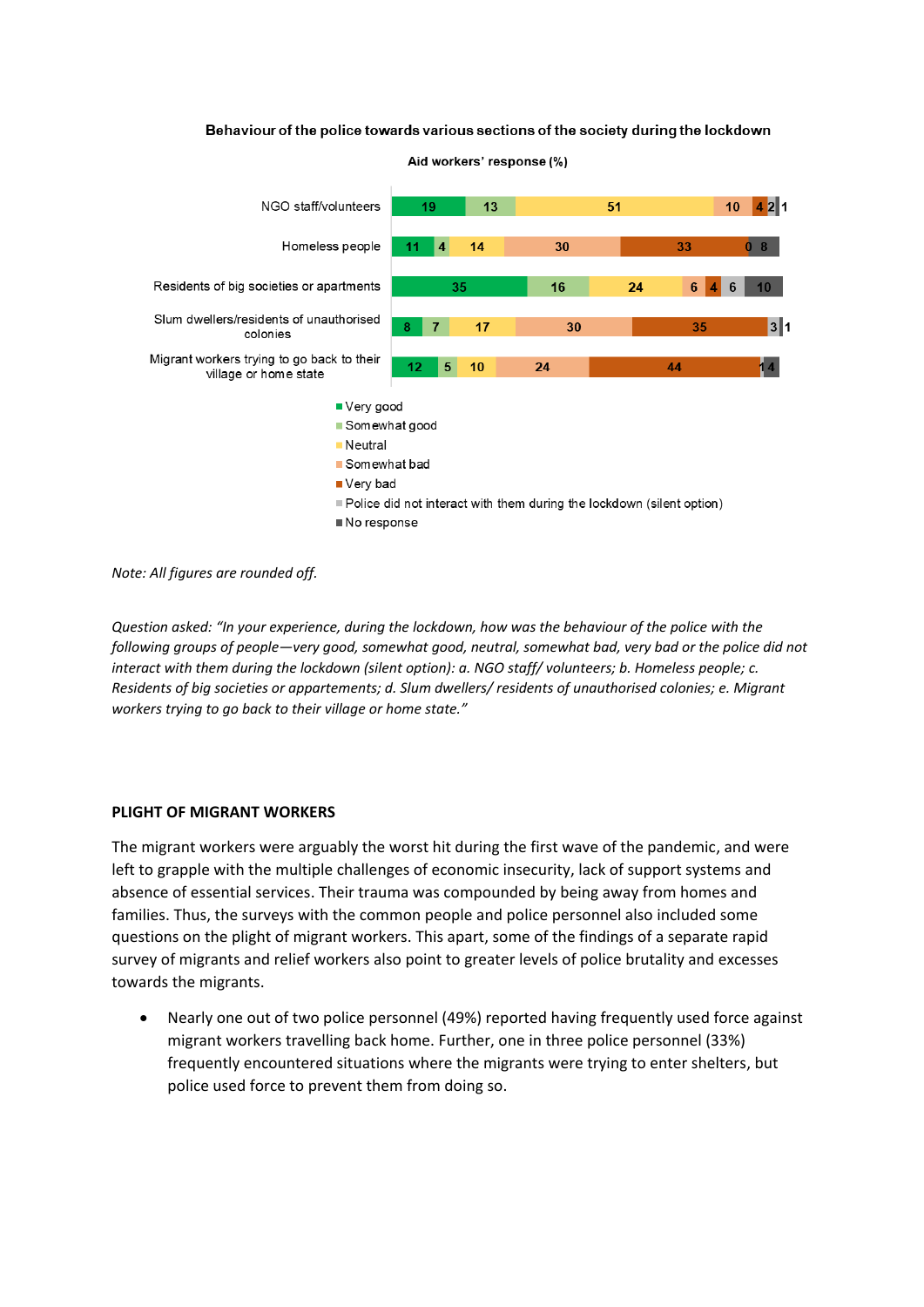#### Behaviour of the police towards various sections of the society during the lockdown



Aid workers' response (%)

*Note: All figures are rounded off.*

*Question asked: "In your experience, during the lockdown, how was the behaviour of the police with the following groups of people—very good, somewhat good, neutral, somewhat bad, very bad or the police did not interact with them during the lockdown (silent option): a. NGO staff/ volunteers; b. Homeless people; c. Residents of big societies or appartements; d. Slum dwellers/ residents of unauthorised colonies; e. Migrant workers trying to go back to their village or home state."*

#### **PLIGHT OF MIGRANT WORKERS**

The migrant workers were arguably the worst hit during the first wave of the pandemic, and were left to grapple with the multiple challenges of economic insecurity, lack of support systems and absence of essential services. Their trauma was compounded by being away from homes and families. Thus, the surveys with the common people and police personnel also included some questions on the plight of migrant workers. This apart, some of the findings of a separate rapid survey of migrants and relief workers also point to greater levels of police brutality and excesses towards the migrants.

• Nearly one out of two police personnel (49%) reported having frequently used force against migrant workers travelling back home. Further, one in three police personnel (33%) frequently encountered situations where the migrants were trying to enter shelters, but police used force to prevent them from doing so.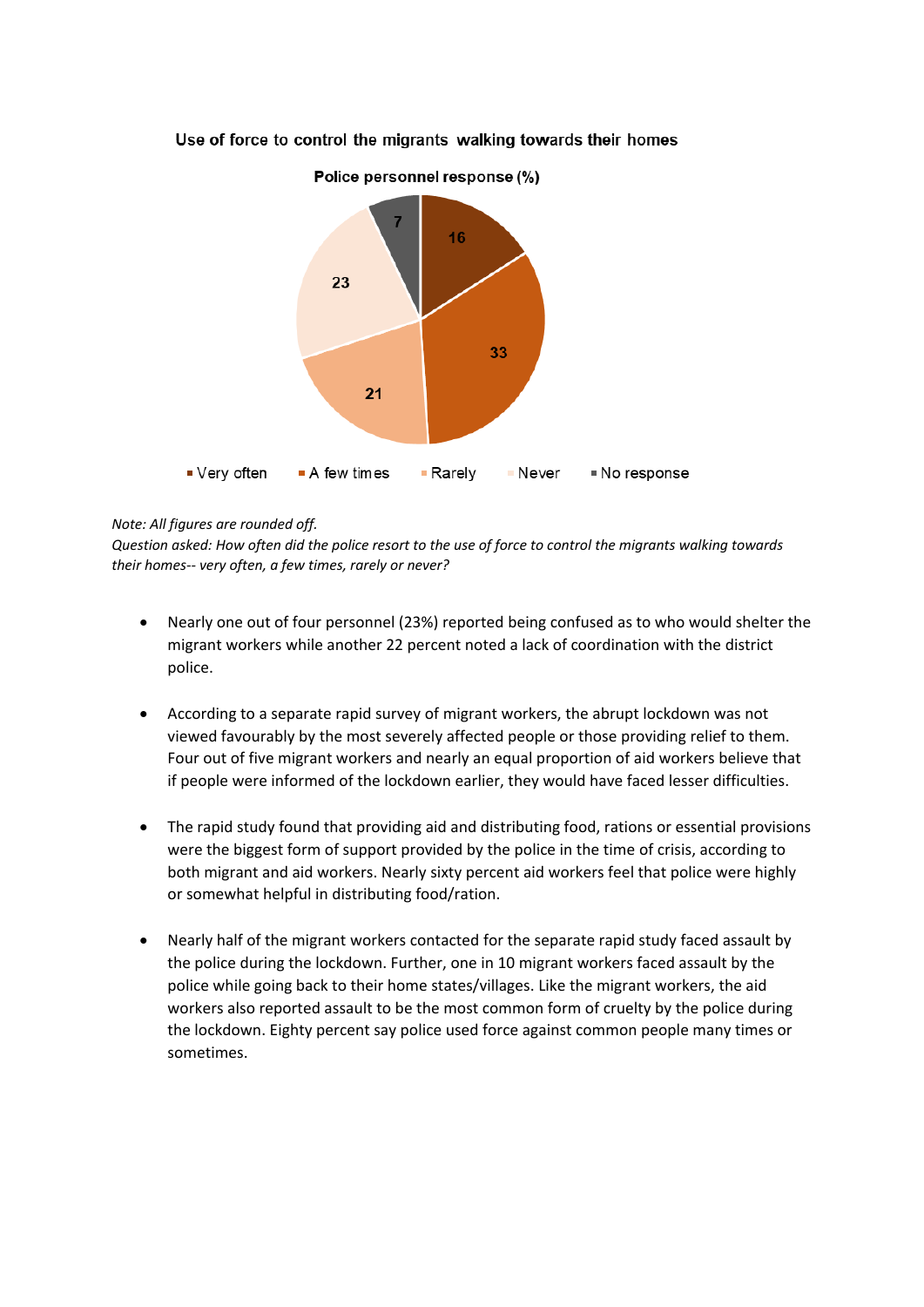

# Use of force to control the migrants walking towards their homes

# *Note: All figures are rounded off.*

*Question asked: How often did the police resort to the use of force to control the migrants walking towards their homes-- very often, a few times, rarely or never?*

- Nearly one out of four personnel (23%) reported being confused as to who would shelter the migrant workers while another 22 percent noted a lack of coordination with the district police.
- According to a separate rapid survey of migrant workers, the abrupt lockdown was not viewed favourably by the most severely affected people or those providing relief to them. Four out of five migrant workers and nearly an equal proportion of aid workers believe that if people were informed of the lockdown earlier, they would have faced lesser difficulties.
- The rapid study found that providing aid and distributing food, rations or essential provisions were the biggest form of support provided by the police in the time of crisis, according to both migrant and aid workers. Nearly sixty percent aid workers feel that police were highly or somewhat helpful in distributing food/ration.
- Nearly half of the migrant workers contacted for the separate rapid study faced assault by the police during the lockdown. Further, one in 10 migrant workers faced assault by the police while going back to their home states/villages. Like the migrant workers, the aid workers also reported assault to be the most common form of cruelty by the police during the lockdown. Eighty percent say police used force against common people many times or sometimes.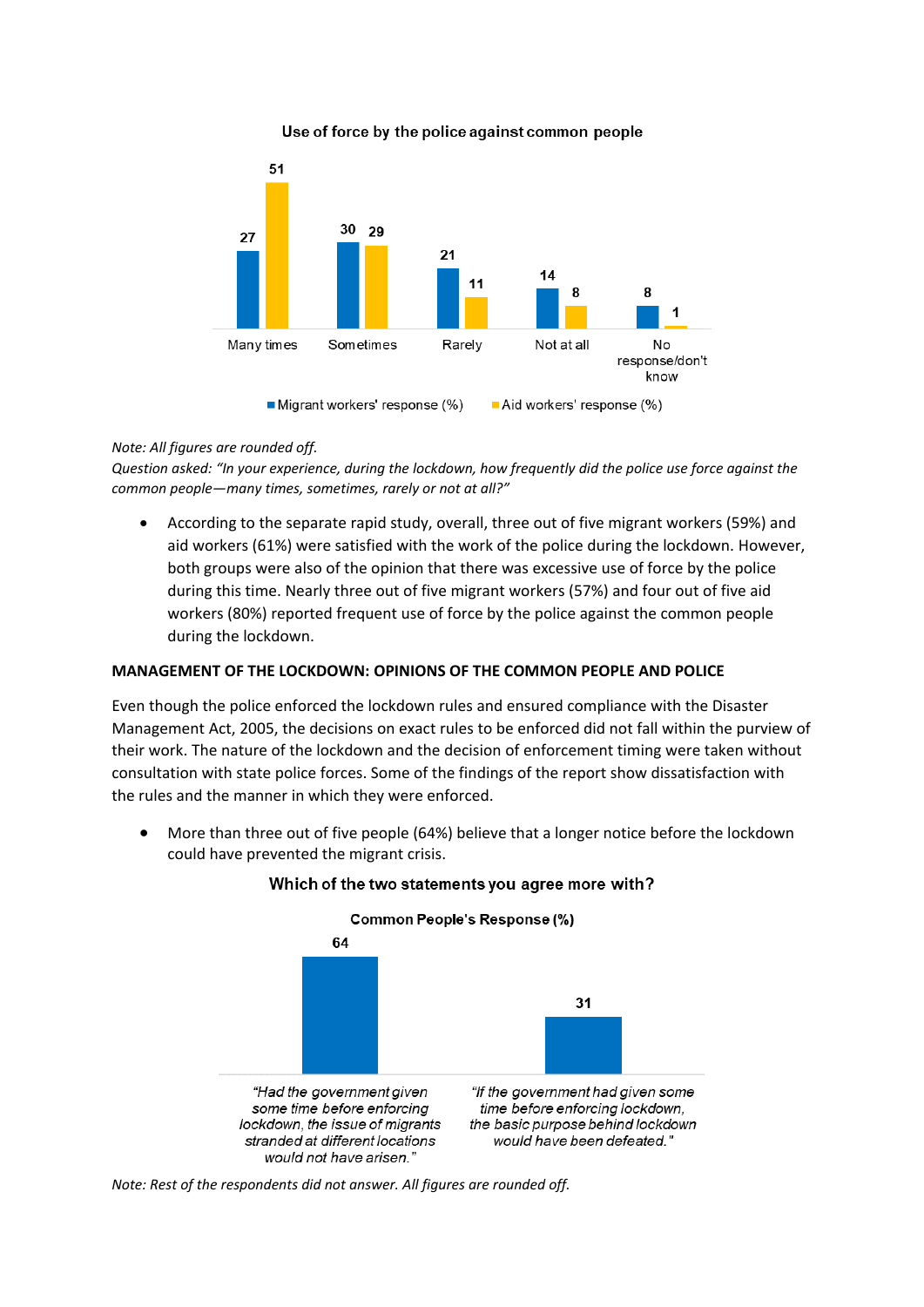#### Use of force by the police against common people



# *Note: All figures are rounded off.*

*Question asked: "In your experience, during the lockdown, how frequently did the police use force against the common people—many times, sometimes, rarely or not at all?"*

• According to the separate rapid study, overall, three out of five migrant workers (59%) and aid workers (61%) were satisfied with the work of the police during the lockdown. However, both groups were also of the opinion that there was excessive use of force by the police during this time. Nearly three out of five migrant workers (57%) and four out of five aid workers (80%) reported frequent use of force by the police against the common people during the lockdown.

# **MANAGEMENT OF THE LOCKDOWN: OPINIONS OF THE COMMON PEOPLE AND POLICE**

Even though the police enforced the lockdown rules and ensured compliance with the Disaster Management Act, 2005, the decisions on exact rules to be enforced did not fall within the purview of their work. The nature of the lockdown and the decision of enforcement timing were taken without consultation with state police forces. Some of the findings of the report show dissatisfaction with the rules and the manner in which they were enforced.

• More than three out of five people (64%) believe that a longer notice before the lockdown could have prevented the migrant crisis.



#### Which of the two statements you agree more with?

*Note: Rest of the respondents did not answer. All figures are rounded off.*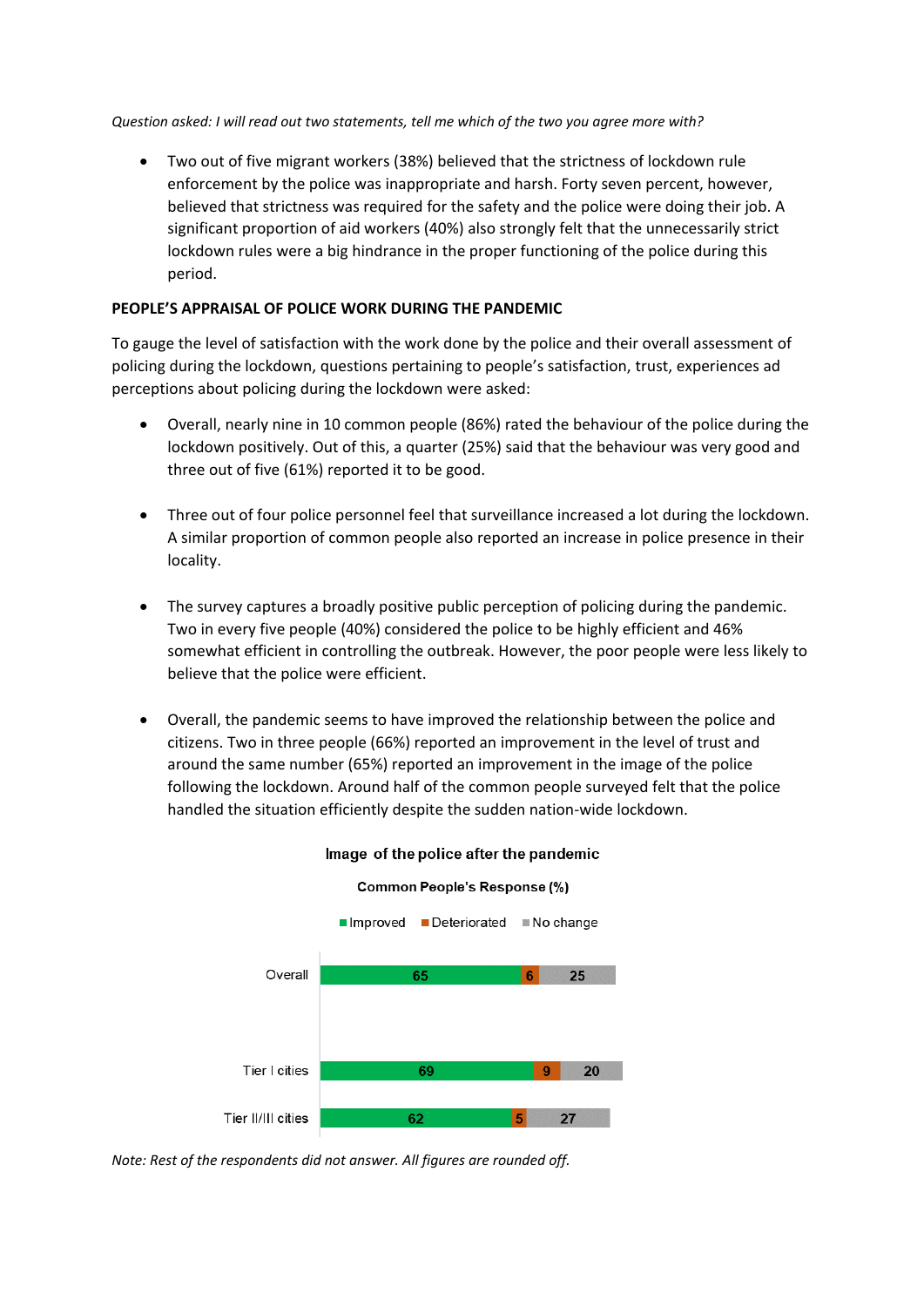*Question asked: I will read out two statements, tell me which of the two you agree more with?* 

• Two out of five migrant workers (38%) believed that the strictness of lockdown rule enforcement by the police was inappropriate and harsh. Forty seven percent, however, believed that strictness was required for the safety and the police were doing their job. A significant proportion of aid workers (40%) also strongly felt that the unnecessarily strict lockdown rules were a big hindrance in the proper functioning of the police during this period.

# **PEOPLE'S APPRAISAL OF POLICE WORK DURING THE PANDEMIC**

To gauge the level of satisfaction with the work done by the police and their overall assessment of policing during the lockdown, questions pertaining to people's satisfaction, trust, experiences ad perceptions about policing during the lockdown were asked:

- Overall, nearly nine in 10 common people (86%) rated the behaviour of the police during the lockdown positively. Out of this, a quarter (25%) said that the behaviour was very good and three out of five (61%) reported it to be good.
- Three out of four police personnel feel that surveillance increased a lot during the lockdown. A similar proportion of common people also reported an increase in police presence in their locality.
- The survey captures a broadly positive public perception of policing during the pandemic. Two in every five people (40%) considered the police to be highly efficient and 46% somewhat efficient in controlling the outbreak. However, the poor people were less likely to believe that the police were efficient.
- Overall, the pandemic seems to have improved the relationship between the police and citizens. Two in three people (66%) reported an improvement in the level of trust and around the same number (65%) reported an improvement in the image of the police following the lockdown. Around half of the common people surveyed felt that the police handled the situation efficiently despite the sudden nation-wide lockdown.



# Image of the police after the pandemic

Common People's Response (%)

*Note: Rest of the respondents did not answer. All figures are rounded off.*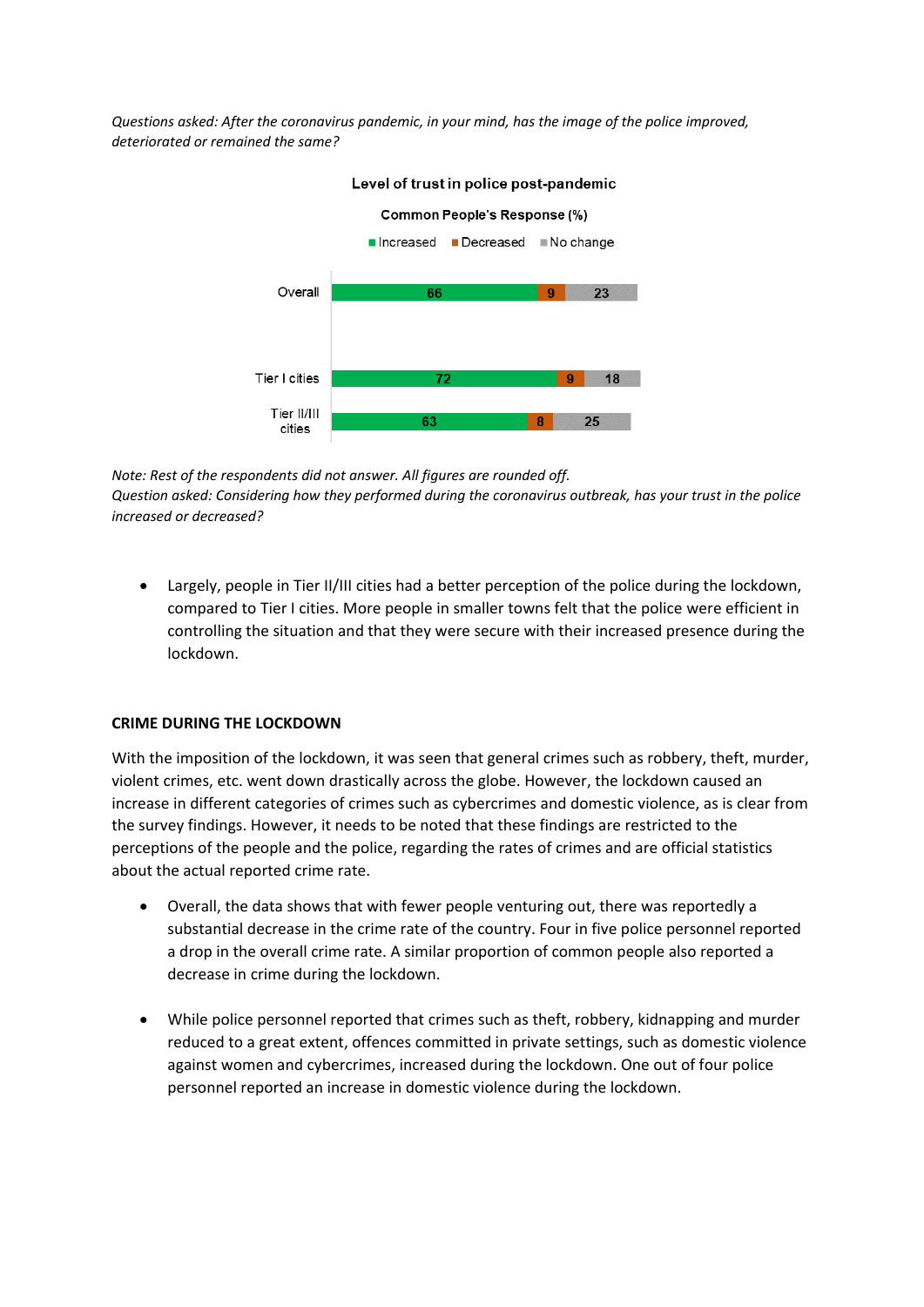*Questions asked: After the coronavirus pandemic, in your mind, has the image of the police improved, deteriorated or remained the same?*



#### Level of trust in police post-pandemic

*Note: Rest of the respondents did not answer. All figures are rounded off. Question asked: Considering how they performed during the coronavirus outbreak, has your trust in the police increased or decreased?*

• Largely, people in Tier II/III cities had a better perception of the police during the lockdown, compared to Tier I cities. More people in smaller towns felt that the police were efficient in controlling the situation and that they were secure with their increased presence during the lockdown.

#### **CRIME DURING THE LOCKDOWN**

With the imposition of the lockdown, it was seen that general crimes such as robbery, theft, murder, violent crimes, etc. went down drastically across the globe. However, the lockdown caused an increase in different categories of crimes such as cybercrimes and domestic violence, as is clear from the survey findings. However, it needs to be noted that these findings are restricted to the perceptions of the people and the police, regarding the rates of crimes and are official statistics about the actual reported crime rate.

- Overall, the data shows that with fewer people venturing out, there was reportedly a substantial decrease in the crime rate of the country. Four in five police personnel reported a drop in the overall crime rate. A similar proportion of common people also reported a decrease in crime during the lockdown.
- While police personnel reported that crimes such as theft, robbery, kidnapping and murder reduced to a great extent, offences committed in private settings, such as domestic violence against women and cybercrimes, increased during the lockdown. One out of four police personnel reported an increase in domestic violence during the lockdown.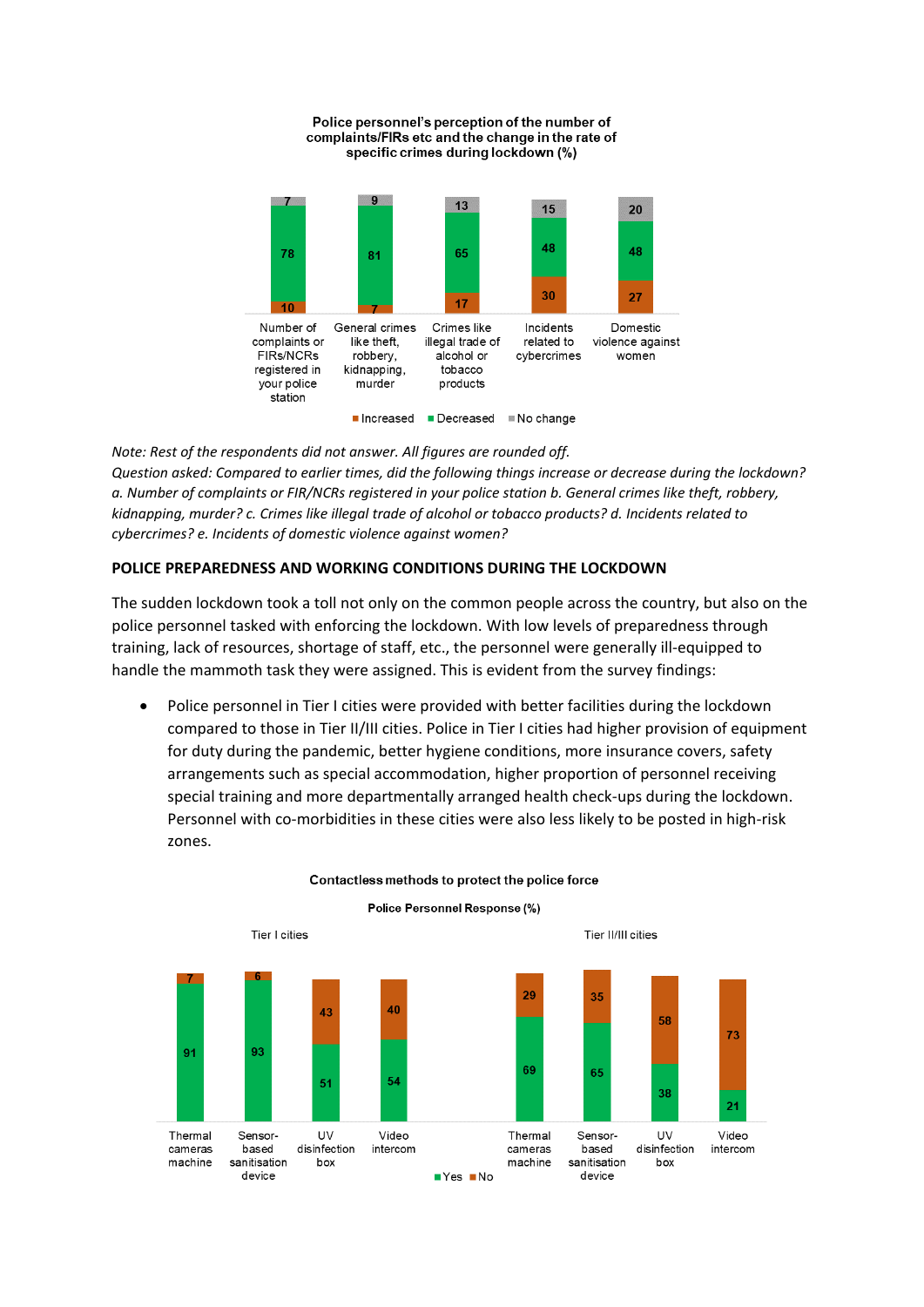

Police personnel's perception of the number of

*Note: Rest of the respondents did not answer. All figures are rounded off. Question asked: Compared to earlier times, did the following things increase or decrease during the lockdown? a. Number of complaints or FIR/NCRs registered in your police station b. General crimes like theft, robbery, kidnapping, murder? c. Crimes like illegal trade of alcohol or tobacco products? d. Incidents related to cybercrimes? e. Incidents of domestic violence against women?*

# **POLICE PREPAREDNESS AND WORKING CONDITIONS DURING THE LOCKDOWN**

The sudden lockdown took a toll not only on the common people across the country, but also on the police personnel tasked with enforcing the lockdown. With low levels of preparedness through training, lack of resources, shortage of staff, etc., the personnel were generally ill-equipped to handle the mammoth task they were assigned. This is evident from the survey findings:

• Police personnel in Tier I cities were provided with better facilities during the lockdown compared to those in Tier II/III cities. Police in Tier I cities had higher provision of equipment for duty during the pandemic, better hygiene conditions, more insurance covers, safety arrangements such as special accommodation, higher proportion of personnel receiving special training and more departmentally arranged health check-ups during the lockdown. Personnel with co-morbidities in these cities were also less likely to be posted in high-risk zones.



#### Contactless methods to protect the police force

Police Personnel Response (%)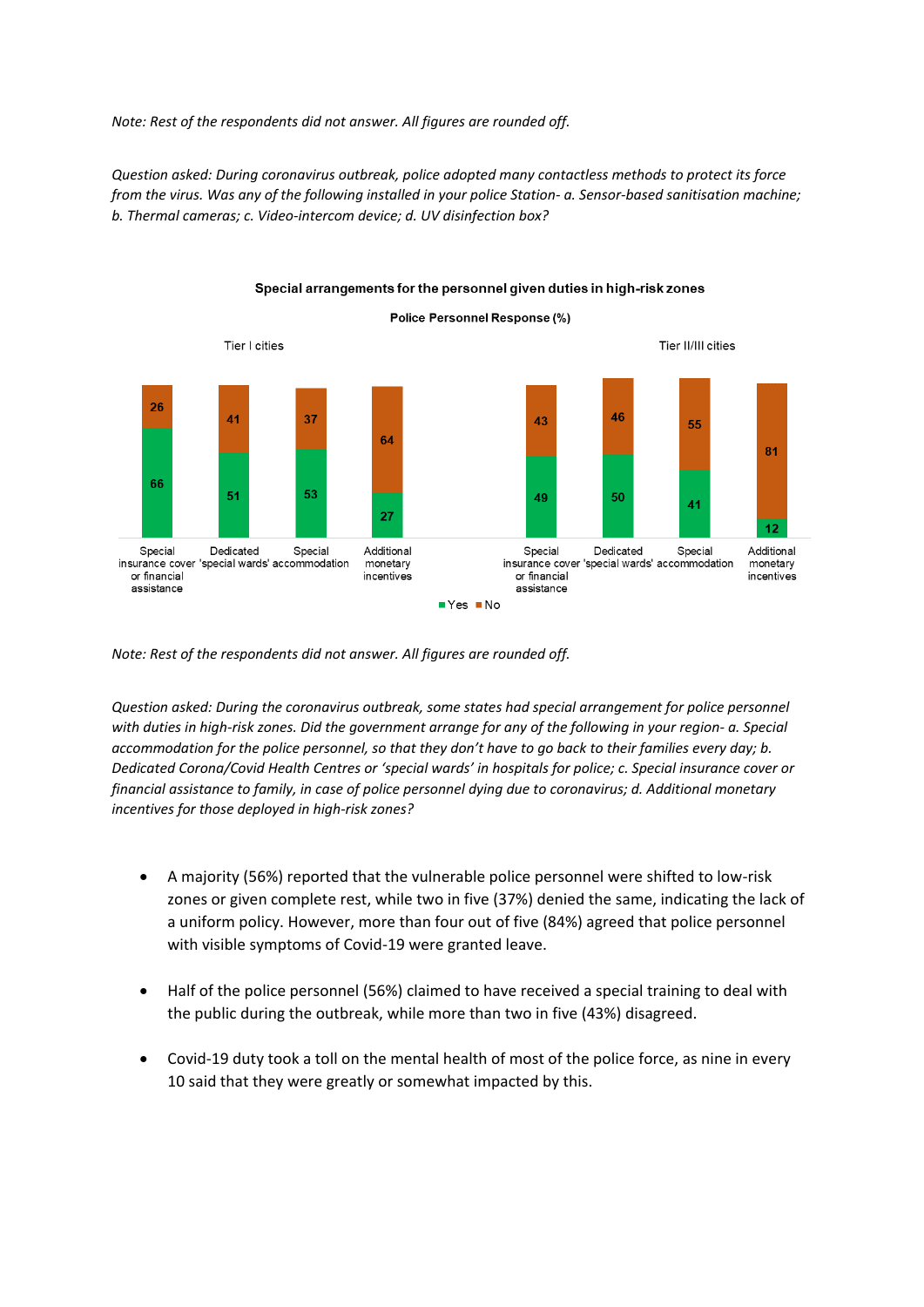*Note: Rest of the respondents did not answer. All figures are rounded off.*

*Question asked: During coronavirus outbreak, police adopted many contactless methods to protect its force from the virus. Was any of the following installed in your police Station- a. Sensor-based sanitisation machine; b. Thermal cameras; c. Video-intercom device; d. UV disinfection box?*



Special arrangements for the personnel given duties in high-risk zones

*Note: Rest of the respondents did not answer. All figures are rounded off.*

*Question asked: During the coronavirus outbreak, some states had special arrangement for police personnel with duties in high-risk zones. Did the government arrange for any of the following in your region- a. Special accommodation for the police personnel, so that they don't have to go back to their families every day; b. Dedicated Corona/Covid Health Centres or 'special wards' in hospitals for police; c. Special insurance cover or financial assistance to family, in case of police personnel dying due to coronavirus; d. Additional monetary incentives for those deployed in high-risk zones?*

- A majority (56%) reported that the vulnerable police personnel were shifted to low-risk zones or given complete rest, while two in five (37%) denied the same, indicating the lack of a uniform policy. However, more than four out of five (84%) agreed that police personnel with visible symptoms of Covid-19 were granted leave.
- Half of the police personnel (56%) claimed to have received a special training to deal with the public during the outbreak, while more than two in five (43%) disagreed.
- Covid-19 duty took a toll on the mental health of most of the police force, as nine in every 10 said that they were greatly or somewhat impacted by this.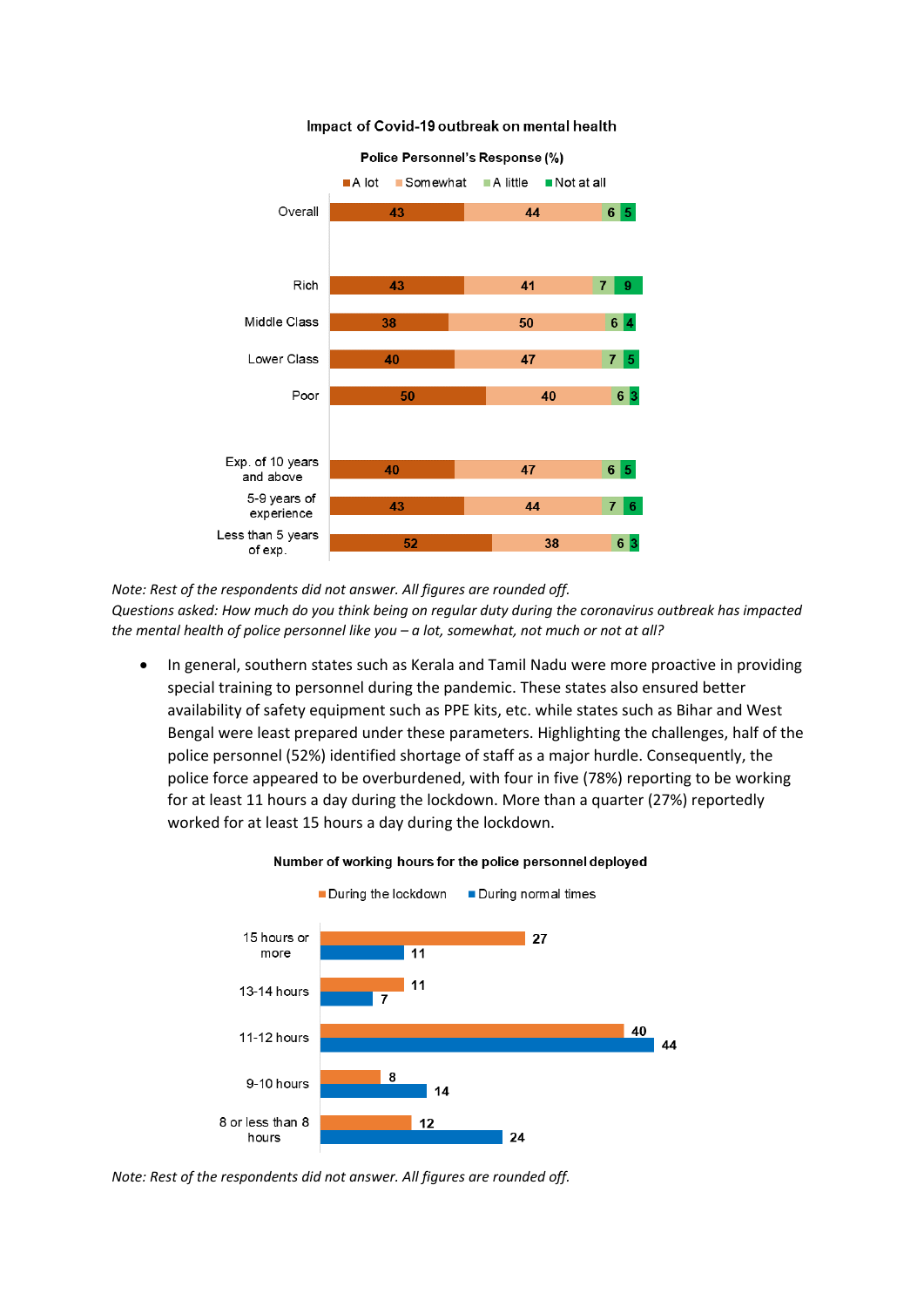

#### Impact of Covid-19 outbreak on mental health

*Note: Rest of the respondents did not answer. All figures are rounded off.*

*Questions asked: How much do you think being on regular duty during the coronavirus outbreak has impacted the mental health of police personnel like you – a lot, somewhat, not much or not at all?*

• In general, southern states such as Kerala and Tamil Nadu were more proactive in providing special training to personnel during the pandemic. These states also ensured better availability of safety equipment such as PPE kits, etc. while states such as Bihar and West Bengal were least prepared under these parameters. Highlighting the challenges, half of the police personnel (52%) identified shortage of staff as a major hurdle. Consequently, the police force appeared to be overburdened, with four in five (78%) reporting to be working for at least 11 hours a day during the lockdown. More than a quarter (27%) reportedly worked for at least 15 hours a day during the lockdown.



Number of working hours for the police personnel deployed

*Note: Rest of the respondents did not answer. All figures are rounded off.*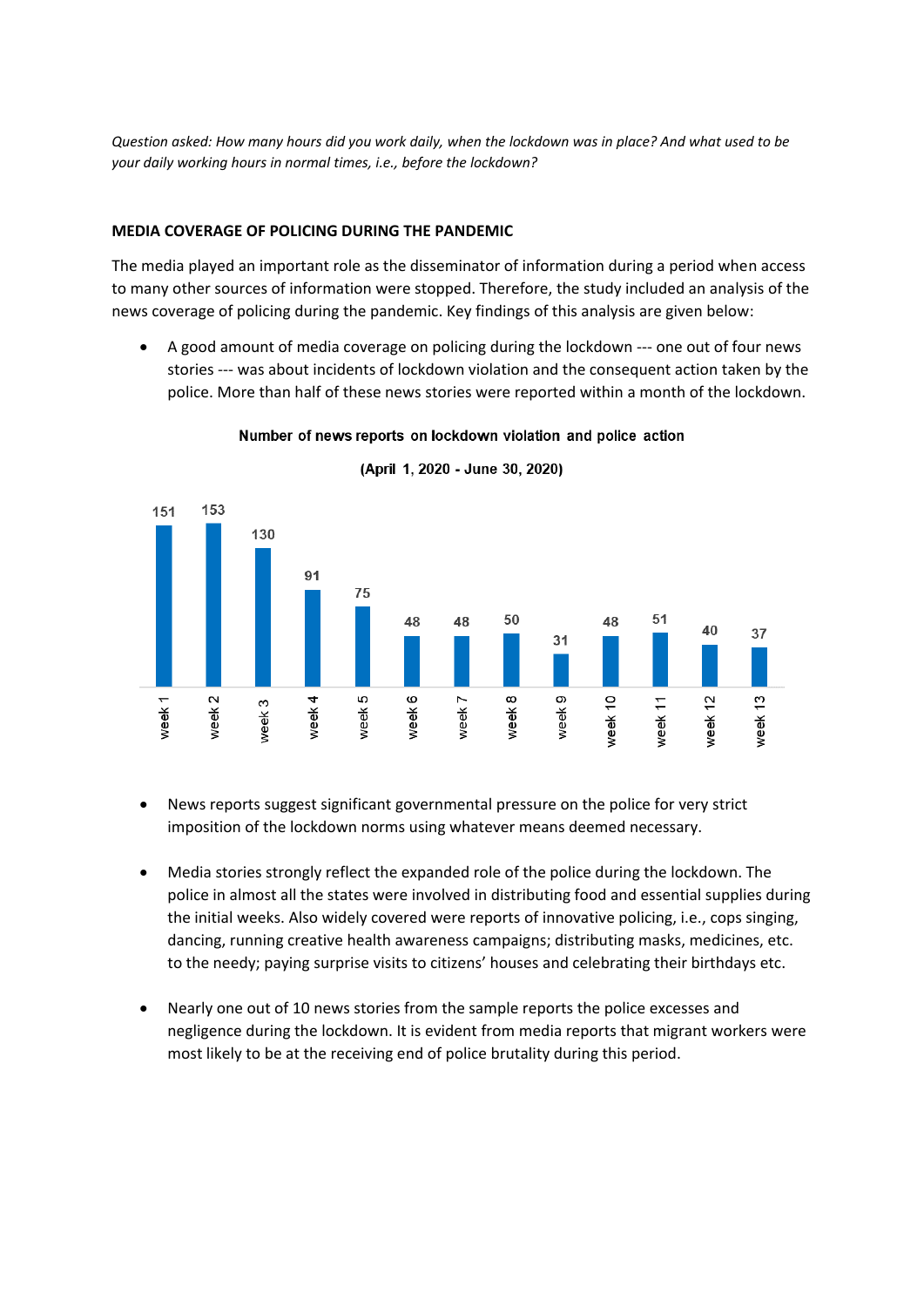*Question asked: How many hours did you work daily, when the lockdown was in place? And what used to be your daily working hours in normal times, i.e., before the lockdown?*

# **MEDIA COVERAGE OF POLICING DURING THE PANDEMIC**

The media played an important role as the disseminator of information during a period when access to many other sources of information were stopped. Therefore, the study included an analysis of the news coverage of policing during the pandemic. Key findings of this analysis are given below:

• A good amount of media coverage on policing during the lockdown --- one out of four news stories --- was about incidents of lockdown violation and the consequent action taken by the police. More than half of these news stories were reported within a month of the lockdown.



Number of news reports on lockdown violation and police action

(April 1, 2020 - June 30, 2020)

- News reports suggest significant governmental pressure on the police for very strict imposition of the lockdown norms using whatever means deemed necessary.
- Media stories strongly reflect the expanded role of the police during the lockdown. The police in almost all the states were involved in distributing food and essential supplies during the initial weeks. Also widely covered were reports of innovative policing, i.e., cops singing, dancing, running creative health awareness campaigns; distributing masks, medicines, etc. to the needy; paying surprise visits to citizens' houses and celebrating their birthdays etc.
- Nearly one out of 10 news stories from the sample reports the police excesses and negligence during the lockdown. It is evident from media reports that migrant workers were most likely to be at the receiving end of police brutality during this period.